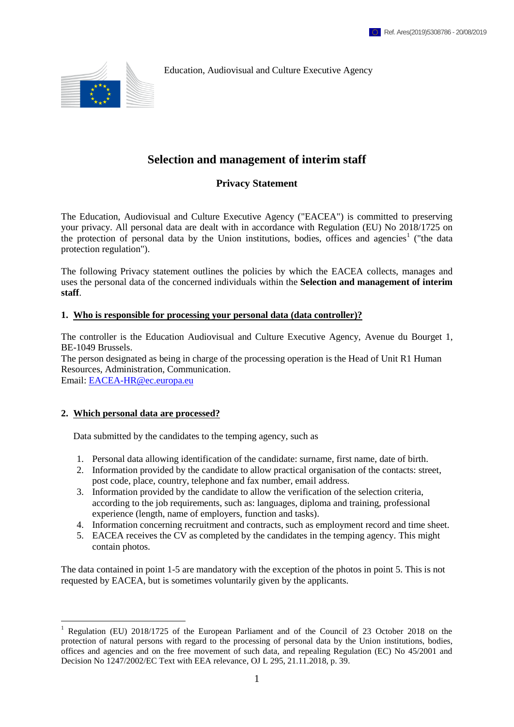Education, Audiovisual and Culture Executive Agency



## **Selection and management of interim staff**

### **Privacy Statement**

The Education, Audiovisual and Culture Executive Agency ("EACEA") is committed to preserving your privacy. All personal data are dealt with in accordance with Regulation (EU) No 2018/1725 on the protection of personal data by the Union institutions, bodies, offices and agencies<sup>1</sup> ("the data protection regulation").

The following Privacy statement outlines the policies by which the EACEA collects, manages and uses the personal data of the concerned individuals within the **Selection and management of interim staff**.

#### **1. Who is responsible for processing your personal data (data controller)?**

The controller is the Education Audiovisual and Culture Executive Agency, Avenue du Bourget 1, BE-1049 Brussels.

The person designated as being in charge of the processing operation is the Head of Unit R1 Human Resources, Administration, Communication. Email: [EACEA-HR@ec.europa.eu](mailto:EACEA-HR@ec.europa.eu)

# **2. Which personal data are processed?**

1

Data submitted by the candidates to the temping agency, such as

- 1. Personal data allowing identification of the candidate: surname, first name, date of birth.
- 2. Information provided by the candidate to allow practical organisation of the contacts: street, post code, place, country, telephone and fax number, email address.
- 3. Information provided by the candidate to allow the verification of the selection criteria, according to the job requirements, such as: languages, diploma and training, professional experience (length, name of employers, function and tasks).
- 4. Information concerning recruitment and contracts, such as employment record and time sheet.
- 5. EACEA receives the CV as completed by the candidates in the temping agency. This might contain photos.

The data contained in point 1-5 are mandatory with the exception of the photos in point 5. This is not requested by EACEA, but is sometimes voluntarily given by the applicants.

<sup>&</sup>lt;sup>1</sup> Regulation (EU) 2018/1725 of the European Parliament and of the Council of 23 October 2018 on the protection of natural persons with regard to the processing of personal data by the Union institutions, bodies, offices and agencies and on the free movement of such data, and repealing Regulation (EC) No 45/2001 and Decision No 1247/2002/EC Text with EEA relevance, OJ L 295, 21.11.2018, p. 39*.*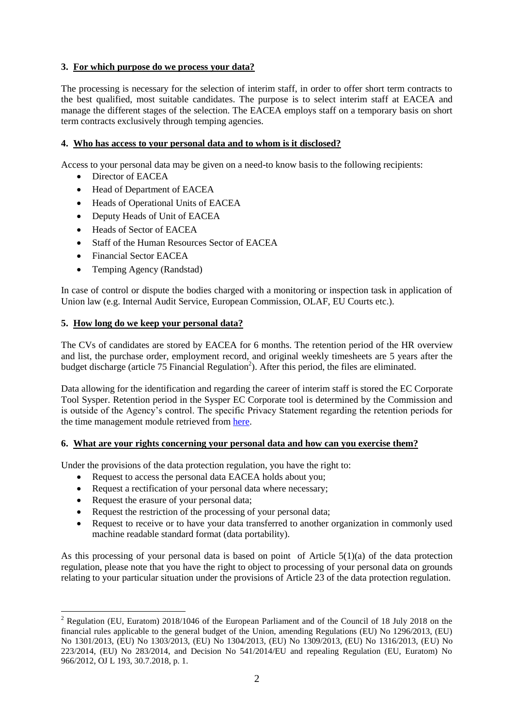#### **3. For which purpose do we process your data?**

The processing is necessary for the selection of interim staff, in order to offer short term contracts to the best qualified, most suitable candidates. The purpose is to select interim staff at EACEA and manage the different stages of the selection. The EACEA employs staff on a temporary basis on short term contracts exclusively through temping agencies.

#### **4. Who has access to your personal data and to whom is it disclosed?**

Access to your personal data may be given on a need-to know basis to the following recipients:

- Director of EACEA
- Head of Department of EACEA
- Heads of Operational Units of EACEA
- Deputy Heads of Unit of EACEA
- Heads of Sector of EACEA
- Staff of the Human Resources Sector of EACEA
- Financial Sector EACEA
- Temping Agency (Randstad)

In case of control or dispute the bodies charged with a monitoring or inspection task in application of Union law (e.g. Internal Audit Service, European Commission, OLAF, EU Courts etc.).

#### **5. How long do we keep your personal data?**

The CVs of candidates are stored by EACEA for 6 months. The retention period of the HR overview and list, the purchase order, employment record, and original weekly timesheets are 5 years after the budget discharge (article 75 Financial Regulation<sup>2</sup>). After this period, the files are eliminated.

Data allowing for the identification and regarding the career of interim staff is stored the EC Corporate Tool Sysper. Retention period in the Sysper EC Corporate tool is determined by the Commission and is outside of the Agency's control. The specific Privacy Statement regarding the retention periods for the time management module retrieved from [here.](https://webgate.ec.europa.eu/fpfis/wikis/pages/viewpage.action?spaceKey=HRMIS&title=Privacy+statements#Privacystatements-Teleworkingmodule)

#### **6. What are your rights concerning your personal data and how can you exercise them?**

Under the provisions of the data protection regulation, you have the right to:

- Request to access the personal data EACEA holds about you;
- Request a rectification of your personal data where necessary:
- Request the erasure of your personal data;

<u>.</u>

- Request the restriction of the processing of your personal data;
- Request to receive or to have your data transferred to another organization in commonly used machine readable standard format (data portability).

As this processing of your personal data is based on point of Article  $5(1)(a)$  of the data protection regulation, please note that you have the right to object to processing of your personal data on grounds relating to your particular situation under the provisions of Article 23 of the data protection regulation.

<sup>&</sup>lt;sup>2</sup> Regulation (EU, Euratom) 2018/1046 of the European Parliament and of the Council of 18 July 2018 on the financial rules applicable to the general budget of the Union, amending Regulations (EU) No 1296/2013, (EU) No 1301/2013, (EU) No 1303/2013, (EU) No 1304/2013, (EU) No 1309/2013, (EU) No 1316/2013, (EU) No 223/2014, (EU) No 283/2014, and Decision No 541/2014/EU and repealing Regulation (EU, Euratom) No 966/2012, OJ L 193, 30.7.2018, p. 1.